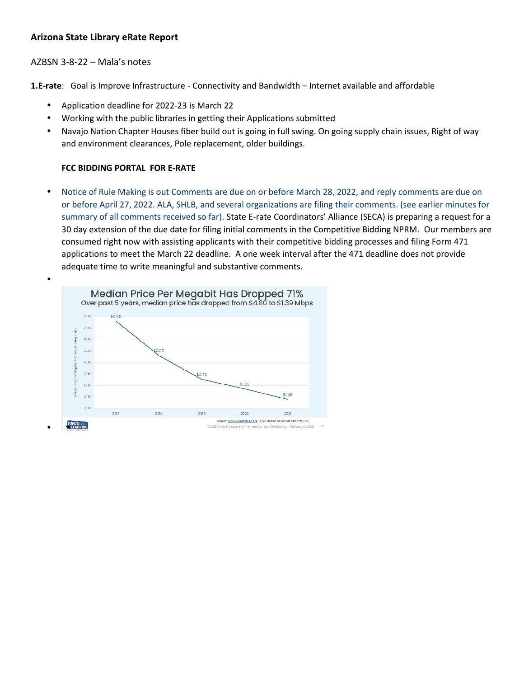# **Arizona State Library eRate Report**

## AZBSN 3-8-22 – Mala's notes

**1.E-rate**: Goal is Improve Infrastructure - Connectivity and Bandwidth – Internet available and affordable

- Application deadline for 2022-23 is March 22
- Working with the public libraries in getting their Applications submitted
- Navajo Nation Chapter Houses fiber build out is going in full swing. On going supply chain issues, Right of way and environment clearances, Pole replacement, older buildings.

#### **FCC BIDDING PORTAL FOR E-RATE**

 Notice of Rule Making is out Comments are due on or before March 28, 2022, and reply comments are due on or before April 27, 2022. ALA, SHLB, and several organizations are filing their comments. (see earlier minutes for summary of all comments received so far). State E-rate Coordinators' Alliance (SECA) is preparing a request for a 30 day extension of the due date for filing initial comments in the Competitive Bidding NPRM. Our members are consumed right now with assisting applicants with their competitive bidding processes and filing Form 471 applications to meet the March 22 deadline. A one week interval after the 471 deadline does not provide adequate time to write meaningful and substantive comments.

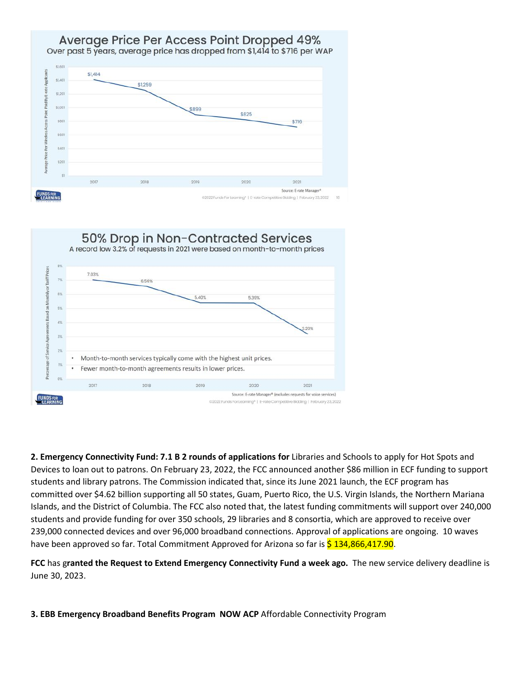## Average Price Per Access Point Dropped 49% Over past 5 years, average price has dropped from \$1,414 to \$716 per WAP



50% Drop in Non-Contracted Services A record low 3.2% of requests in 2021 were based on month-to-month prices 8% 7.03% 7% 6.56% 6% 5.40% 5.39% 5%  $\frac{5}{4}$ 4% 3.20% 3%  $2\%$ Month-to-month services typically come with the highest unit prices.  $1%$ Fewer month-to-month agreements results in lower prices.  $n$ 2017 2018 2019  $2021$ 2020 Source: E-rate Manager\* (excludes requests for voice services) **FUNDSFOR**<br>LEARNING ©2022 Funds For Learning® | E-rate Competitive Bidding | February 23, 2022

**2. Emergency Connectivity Fund: 7.1 B 2 rounds of applications for** Libraries and Schools to apply for Hot Spots and Devices to loan out to patrons. On February 23, 2022, the FCC announced another \$86 million in ECF funding to support students and library patrons. The Commission indicated that, since its June 2021 launch, the ECF program has committed over \$4.62 billion supporting all 50 states, Guam, Puerto Rico, the U.S. Virgin Islands, the Northern Mariana Islands, and the District of Columbia. The FCC also noted that, the latest funding commitments will support over 240,000 students and provide funding for over 350 schools, 29 libraries and 8 consortia, which are approved to receive over 239,000 connected devices and over 96,000 broadband connections. Approval of applications are ongoing. 10 waves have been approved so far. Total Commitment Approved for Arizona so far is \$134,866,417.90.

**FCC** has g**ranted the Request to Extend Emergency Connectivity Fund a week ago.** The new service delivery deadline is June 30, 2023.

**3. EBB Emergency Broadband Benefits Program NOW ACP** Affordable Connectivity Program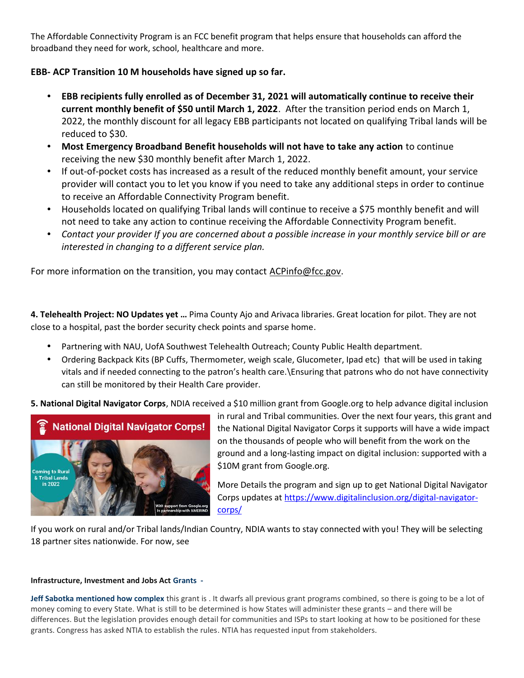The Affordable Connectivity Program is an FCC benefit program that helps ensure that households can afford the broadband they need for work, school, healthcare and more.

# **EBB- ACP Transition 10 M households have signed up so far.**

- **EBB recipients fully enrolled as of December 31, 2021 will automatically continue to receive their current monthly benefit of \$50 until March 1, 2022**. After the transition period ends on March 1, 2022, the monthly discount for all legacy EBB participants not located on qualifying Tribal lands will be reduced to \$30.
- **Most Emergency Broadband Benefit households will not have to take any action** to continue receiving the new \$30 monthly benefit after March 1, 2022.
- If out-of-pocket costs has increased as a result of the reduced monthly benefit amount, your service provider will contact you to let you know if you need to take any additional steps in order to continue to receive an Affordable Connectivity Program benefit.
- Households located on qualifying Tribal lands will continue to receive a \$75 monthly benefit and will not need to take any action to continue receiving the Affordable Connectivity Program benefit.
- *Contact your provider If you are concerned about a possible increase in your monthly service bill or are interested in changing to a different service plan.*

For more information on the transition, you may contact ACPinfo@fcc.gov.

**4. Telehealth Project: NO Updates yet …** Pima County Ajo and Arivaca libraries. Great location for pilot. They are not close to a hospital, past the border security check points and sparse home.

- Partnering with NAU, UofA Southwest Telehealth Outreach; County Public Health department.
- Ordering Backpack Kits (BP Cuffs, Thermometer, weigh scale, Glucometer, Ipad etc) that will be used in taking vitals and if needed connecting to the patron's health care.\Ensuring that patrons who do not have connectivity can still be monitored by their Health Care provider.

**5. National Digital Navigator Corps**, NDIA received a \$10 million grant from Google.org to help advance digital inclusion



in rural and Tribal communities. Over the next four years, this grant and the National Digital Navigator Corps it supports will have a wide impact on the thousands of people who will benefit from the work on the ground and a long-lasting impact on digital inclusion: supported with a \$10M grant from Google.org.

More Details the program and sign up to get National Digital Navigator Corps updates at https://www.digitalinclusion.org/digital-navigator corps/

If you work on rural and/or Tribal lands/Indian Country, NDIA wants to stay connected with you! They will be selecting 18 partner sites nationwide. For now, see

#### **Infrastructure, Investment and Jobs Act Grants -**

**Jeff Sabotka mentioned how complex** this grant is . It dwarfs all previous grant programs combined, so there is going to be a lot of money coming to every State. What is still to be determined is how States will administer these grants – and there will be differences. But the legislation provides enough detail for communities and ISPs to start looking at how to be positioned for these grants. Congress has asked NTIA to establish the rules. NTIA has requested input from stakeholders.